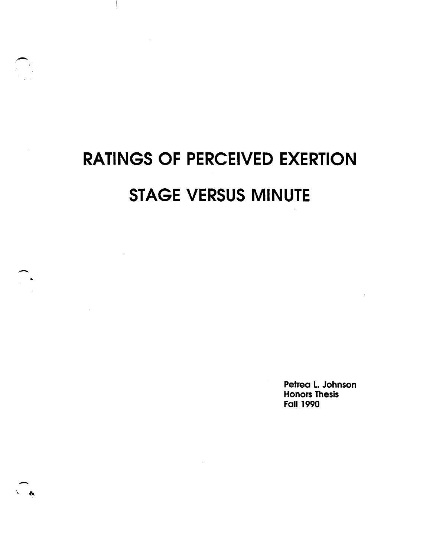# **RATINGS OF PERCEIVED EXERTION STAGE VERSUS MINUTE**

 $\mathcal{L}_{\text{max}}$ 

-

-

Petrea L. Johnson Honors Thesis Fall 1990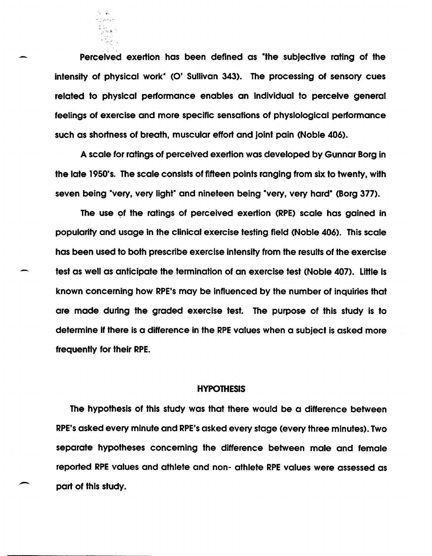Perceived exertion has been defined as "the subjective rating of the intensity of physical work<sup>+</sup> (O' Sullivan 343). The processing of sensory cues related to physical performance enables an individual to perceive general feelings of exercise and more specific sensations of physiological performance such as shortness of breath, muscular effort and joint pain (Noble 406).

· ~, ,t; f.\ '

A scale for ratings of perceived exertion was developed by Gunnar Borg in the late 1950's. The scale consists of fifteen points ranging from six to twenty. with seven being 'very, very light' and nineteen being 'very, very hard' (Borg 377).

The use of the ratings of perceived exertion (RPE) scale has gained in popularity and usage in the clinical exercise testing field (Noble 406). This scale has been used to both prescribe exercise intensity from the results of the exercise test as well as anticipate the termination of an exercise test (Noble 407). Little is known concerning how RPE's may be influenced by the number of inquiries that are made during the graded exercise test. The purpose of this study is to determine if there is a difference in the RPE values when a subject is asked more frequently for their RPE.

### **HYPOTHESIS**

The hypothesis of this study was that there would be a difference between RPE's asked every minute and RPE's asked every stage (every three minutes). Two separate hypotheses concerning the difference between male and female reported RPE values and athlete and non- athlete RPE values were assessed as part of this study.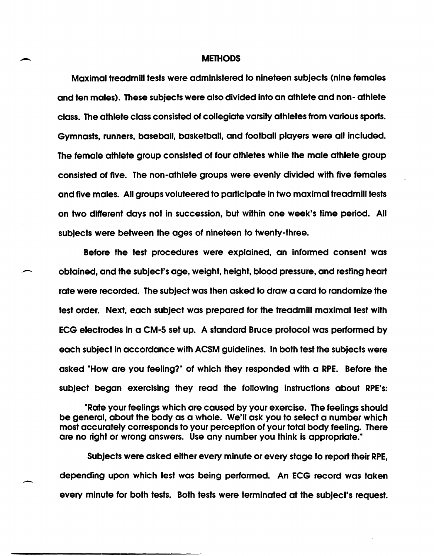#### **METHODS**

Maximal treadmill tests were administered to nineteen subjects (nine females and ten males). These subjects were also divided into an athlete and non- athlete class. The athlete class consisted of collegiate varsity athletes from various sports. Gymnasts, runners, baseball, basketball, and football players were all included. The female athlete group consisted of four athletes while the male athlete group consisted of five. The non-athlete groups were evenly divided with five females and five males. All groups voluteered to participate in two maximal treadmill tests on two different days not in succession, but within one week's time period. All subjects were between the ages of nineteen to twenty-three.

Before the test procedures were explained, an informed consent was - obtained, and the subject's age, weight, height, blood pressure, and resting heart rate were recorded. The subject was then asked to draw a card to randomize the test order. Next, each subject was prepared for the treadmill maximal test with ECG electrodes in a CM-5 set up. A standard Bruce protocol was performed by each subject in accordance with ACSM guidelines. In both test the subjects were asked "How are you feeling?" of which they responded with a RPE. Before the subject began exercising they read the following instructions about RPE's:

-Rate your feelings which are caused by your exercise. The feelings should be general, about the body as a whole. We'll ask you to select a number which most accurately corresponds to your perception of your total body feeling. There are no right or wrong answers. Use any number you think is appropriate."

Subjects were asked either every minute or every stage to report their RPE, depending upon which test was being performed. An ECG record was taken every minute for both tests. Both tests were terminated at the subject's request.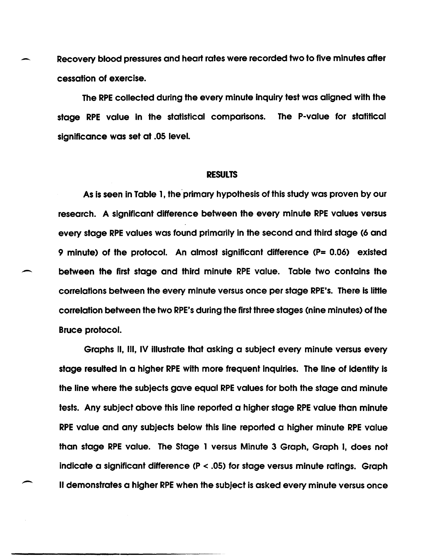Recovery blood pressures and heart rates were recorded two to five minutes after cessation of exercise.

The RPE collected during the every minute inquiry test was aligned with the stage RPE value In the statistical comparisons. The P-value for statitical significance was set at .05 level.

## RESULTS

As is seen in Table 1, the primary hypothesis of this study was proven by our research. A significant difference between the every minute RPE values versus every stage RPE values was found primarily in the second and third stage (6 and 9 minute) of the protocol. An almost significant difference (P= 0.06) existed between the first stage and third minute RPE value. Table two contains the correlations between the every minute versus once per stage RPE's. There is IiHle correlation between the two RPE's during the first three stages (nine minutes) of the Bruce protocol.

Graphs II, III, IV illustrate that asking a subject every minute versus every stage resulted in a higher RPE with more frequent inquiries. The line of identity is the line where the subjects gave equal RPE values for both the stage and minute tests. Any subject above this line reported a higher stage RPE value than minute RPE value and any subjects below this line reported a higher minute RPE value than stage RPE value. The Stage 1 versus Minute 3 Graph, Graph I, does not indicate a significant difference (P < .05) for stage versus minute ratings. Graph II demonstrates a higher RPE when the subject is asked every minute versus once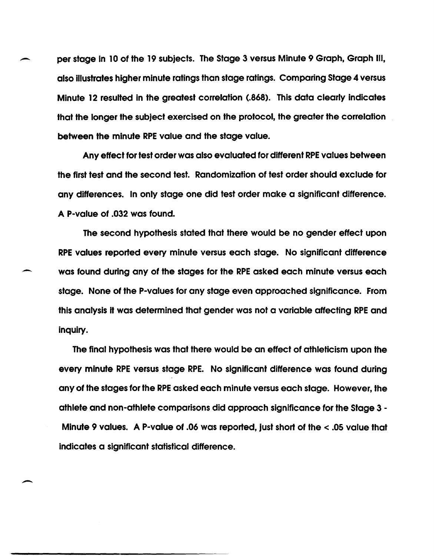- per stage in 10 of the 19 subjects. The Stage 3 versus Minute 9 Graph, Graph III, also illustrates higher minute ratings than stage ratings. Comparing Stage 4 versus Minute 12 resulted in the greatest correlation (.868). This data clearly indicates that the longer the subject exercised on the protocol, the greater the correlation between the minute RPE value and the stage value.

Any effect for test order was also evaluated for different RPE values between the first test and the second test. Randomization of test order should exclude for any differences. In only stage one did test order make a significant difference. A P-value of .032 was found.

The second hypothesis stated that there would be no gender effect upon RPE values reported every minute versus each stage. No significant difference was found during any of the stages for the RPE asked each minute versus each stage. None of the P-values for any stage even approached significance. From this analysis it was determined that gender was not a variable affecting RPE and inquiry.

-

The final hypothesis was that there would be an effect of athleticism upon the every minute RPE versus stage RPE. No significant difference was found during any of the stages for the RPE asked each minute versus each stage. However, the athlete and non-athlete comparisons did approach significance for the Stage 3 - Minute 9 values. A P-value of .06 was reported, just short of the < .05 value that indicates a significant statistical difference.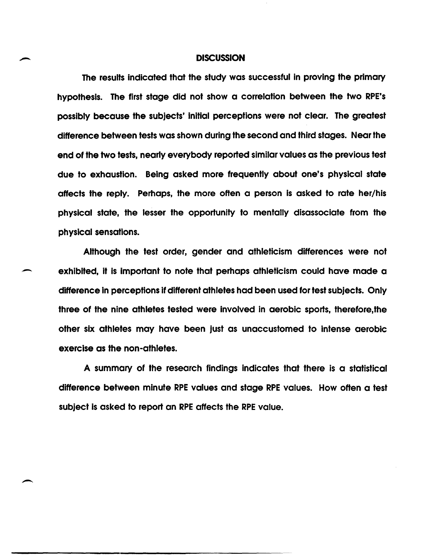#### **DISCUSSION**

The results indicated that the study was successful in proving the primary hypothesis. The first stage did not show a correlation between the two RPE's possibly because the subjects' initial perceptions were not clear. The greatest difference between tests was shown during the second and third stages. Near the end of the two tests, nearly everybody reported similar values as the previous test due to exhaustion. Being asked more frequently about one's physical state affects the reply. Perhaps, the more often a person is asked to rate her/his physical state, the lesser the opportunity to mentally disassociate from the physical sensations.

Although the test order, gender and athleticism differences were not exhibited, it is important to note that perhaps athleticism could have made a difference in perceptions if different athletes had been used for test subjects. Only three of the nine athletes tested were involved in aerobic sports, therefore,the other six athletes may have been just as unaccustomed to intense aerobic exercise as the non-athletes.

A summary of the research findings indicates that there is a statistical difference between minute RPE values and stage RPE values. How often a test subject Is asked to report an RPE affects the RPE value.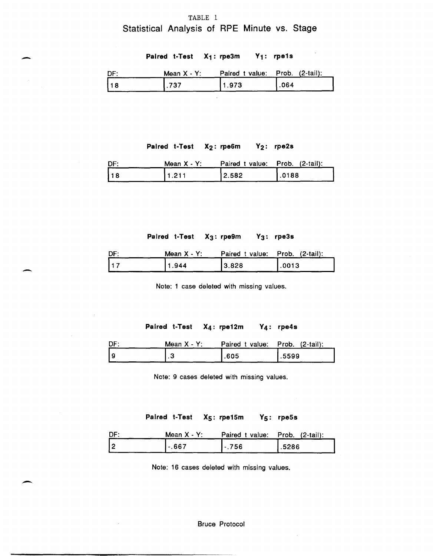# TABLE 1 Statistical Analysis of RPE Minute vs. Stage

| ستعبر |     |                      | Paired t-Test $X_1$ : rpe3m $Y_1$ : rpe1s         |      |
|-------|-----|----------------------|---------------------------------------------------|------|
|       | DF: |                      | Mean $X - Y$ : Paired t value: Prob. $(2-tail)$ : |      |
|       | 18  | $\left  .737\right $ | 1.973                                             | .064 |

## Paired t-Test X<sub>2</sub>: rpe6m Y<sub>2</sub>: rpe2s

| DF: | Mean X - Y: | Paired t value: Prob. (2-tail): |        |
|-----|-------------|---------------------------------|--------|
| 18  | 11.211      | 2.582                           | 1.0188 |

Paired t-Test X<sub>3</sub>: rpe9m Y<sub>3</sub>: rpe3s

| DF:        | Mean $X - Y$ : | Paired t value: Prob. (2-tail): |       |
|------------|----------------|---------------------------------|-------|
| $\vert$ 17 | 1.944          | 13.828                          | .0013 |

-

-

Note: 1 case deleted with missing values.

Paired t-Test X4: rpe12m Y4: rpe4s

| Mean $X - Y$ : | Paired t value: Prob. (2-tail): |       |
|----------------|---------------------------------|-------|
|                | .605                            | .5599 |

Note: 9 cases deleted with missing values.

Paired t-Test X<sub>5</sub>: rpe15m Y<sub>5</sub>: rpe5s

| DF: | Mean $X - Y$ : | Paired t value: Prob. (2-tail): |       |
|-----|----------------|---------------------------------|-------|
| 2   | $1 - 667$      | $-.756$                         | .5286 |

Note: 16 cases deleted with missing values.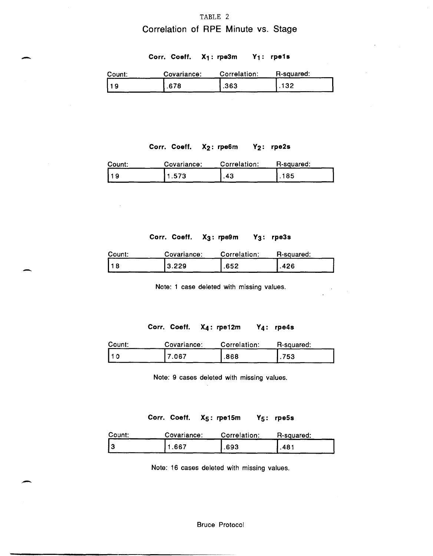#### TABLE 2

# **Correlation of RPE Minute** vs. **Stage**

## Corr. Coeff. X<sub>1</sub>: rpe3m Y<sub>1</sub>: rpe1s

| Count: | Covariance: | Correlation: | R-squared: |
|--------|-------------|--------------|------------|
|        | .678        | .363         | 132        |

## Corr. Coeff. X<sub>2</sub>: rpe6m Y<sub>2</sub>: rpe2s

| Count: | Covariance: | Correlation: | R-squared: |
|--------|-------------|--------------|------------|
|        | 1.573       | .43          | 185        |

## **Corr. Coeff. X3: rpe9m Y3: rpe3s**

| Count: | Covariance: | Correlation: | R-squared: |
|--------|-------------|--------------|------------|
| 118    | 3.229       | .652         | .426       |

-

-

Note: 1 case deleted with missing values.

#### **Corr. Coeff. X4: rpe12m**

| Count: | Covariance: | Correlation: | R-squared: |
|--------|-------------|--------------|------------|
|        | 7.067       | .868         | .753       |

Note: 9 cases deleted with missing values.

## Corr. Coeff. X<sub>5</sub>: rpe15m Y<sub>5</sub>: rpe5s

| Count: | Covariance: | Correlation: | R-squared: |
|--------|-------------|--------------|------------|
|        | .667        | .693         | .481       |

Note: 16 cases deleted with missing values.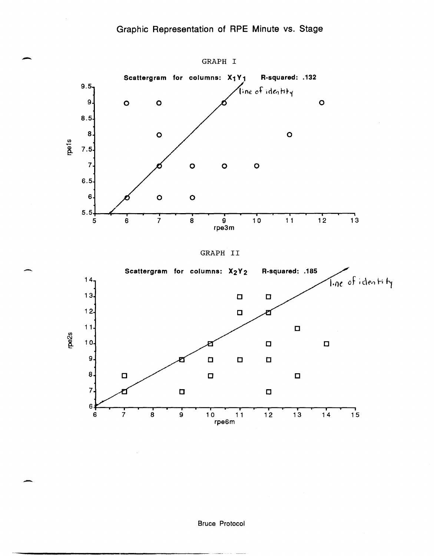





Bruce Protocol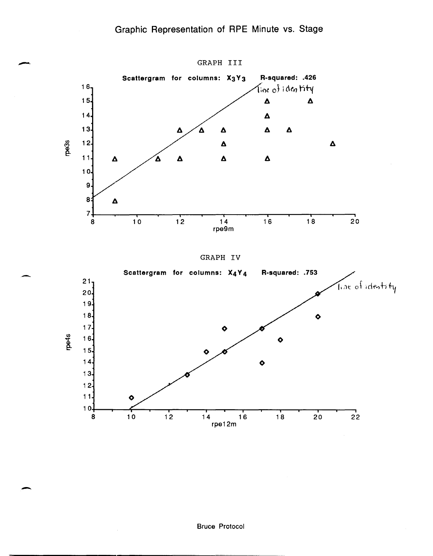



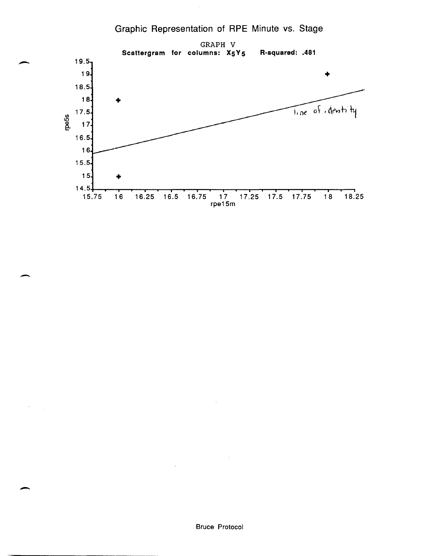,-

 $\overline{\phantom{0}}$ 

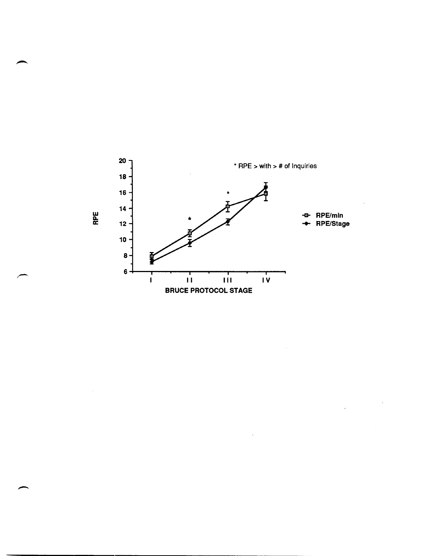